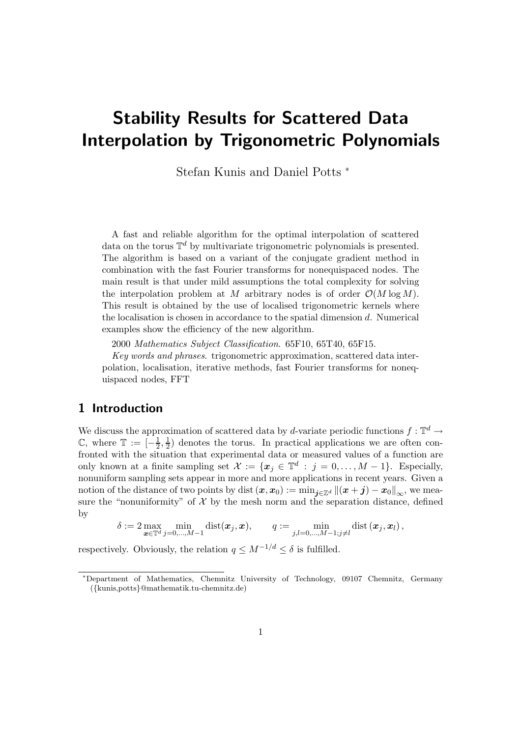# Stability Results for Scattered Data Interpolation by Trigonometric Polynomials

Stefan Kunis and Daniel Potts <sup>∗</sup>

A fast and reliable algorithm for the optimal interpolation of scattered data on the torus  $\mathbb{T}^d$  by multivariate trigonometric polynomials is presented. The algorithm is based on a variant of the conjugate gradient method in combination with the fast Fourier transforms for nonequispaced nodes. The main result is that under mild assumptions the total complexity for solving the interpolation problem at M arbitrary nodes is of order  $\mathcal{O}(M \log M)$ . This result is obtained by the use of localised trigonometric kernels where the localisation is chosen in accordance to the spatial dimension d. Numerical examples show the efficiency of the new algorithm.

2000 Mathematics Subject Classification. 65F10, 65T40, 65F15.

Key words and phrases. trigonometric approximation, scattered data interpolation, localisation, iterative methods, fast Fourier transforms for nonequispaced nodes, FFT

## 1 Introduction

We discuss the approximation of scattered data by d-variate periodic functions  $f: \mathbb{T}^d \to$  $\mathbb{C}$ , where  $\mathbb{T} := \left[-\frac{1}{2}\right]$  $\frac{1}{2}, \frac{1}{2}$  $\frac{1}{2}$  denotes the torus. In practical applications we are often confronted with the situation that experimental data or measured values of a function are only known at a finite sampling set  $\mathcal{X} := \{ \boldsymbol{x}_j \in \mathbb{T}^d : j = 0, \ldots, M - 1 \}$ . Especially, nonuniform sampling sets appear in more and more applications in recent years. Given a notion of the distance of two points by dist  $(x, x_0) := \min_{j \in \mathbb{Z}^d} ||(x + j) - x_0||_{\infty}$ , we measure the "nonuniformity" of  $X$  by the mesh norm and the separation distance, defined by

$$
\delta := 2 \max_{\pmb{x} \in \mathbb{T}^d} \min_{j=0,\ldots,M-1} \text{dist}(\pmb{x}_j,\pmb{x}), \qquad q := \min_{j,l=0,\ldots,M-1; j \neq l} \text{dist} \left( \pmb{x}_j, \pmb{x}_l \right),
$$

respectively. Obviously, the relation  $q \leq M^{-1/d} \leq \delta$  is fulfilled.

<sup>∗</sup>Department of Mathematics, Chemnitz University of Technology, 09107 Chemnitz, Germany ({kunis,potts}@mathematik.tu-chemnitz.de)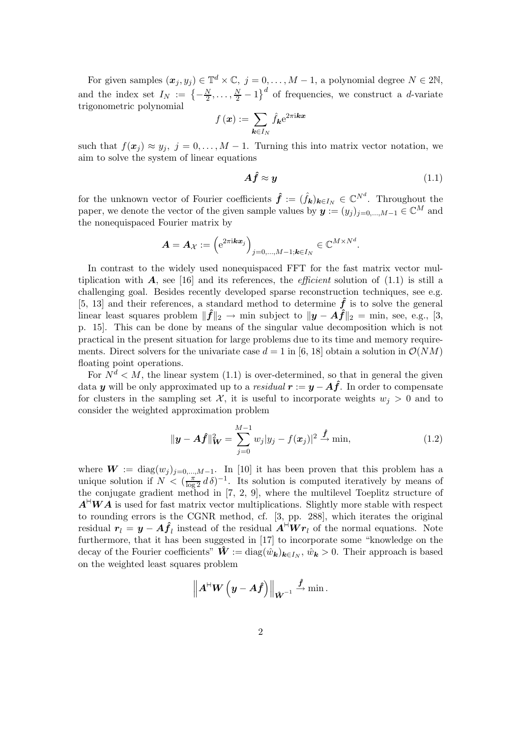For given samples  $(x_j, y_j) \in \mathbb{T}^d \times \mathbb{C}, j = 0, \ldots, M - 1$ , a polynomial degree  $N \in 2\mathbb{N}$ , and the index set  $I_N := \left\{-\frac{N}{2}\right\}$  $\frac{N}{2}, \ldots, \frac{N}{2}-1$  of frequencies, we construct a *d*-variate trigonometric polynomial

$$
f\left(\bm{x}\right) := \sum_{\bm{k}\in I_N} \hat{f}_{\bm{k}} \mathrm{e}^{2\pi\mathrm{i}\bm{k}\bm{x}}
$$

such that  $f(\mathbf{x}_i) \approx y_i$ ,  $j = 0, \ldots, M-1$ . Turning this into matrix vector notation, we aim to solve the system of linear equations

$$
A\hat{f} \approx y \tag{1.1}
$$

for the unknown vector of Fourier coefficients  $\hat{f} := (\hat{f}_{k})_{k \in I_N} \in \mathbb{C}^{N^d}$ . Throughout the paper, we denote the vector of the given sample values by  $\mathbf{y} := (y_j)_{j=0,\dots,M-1} \in \mathbb{C}^M$  and the nonequispaced Fourier matrix by

$$
\boldsymbol{A} = \boldsymbol{A}_{\boldsymbol{\mathcal{X}}} := \left(\mathrm{e}^{2\pi\mathrm{i}\boldsymbol{k}\boldsymbol{x}_j}\right)_{j=0,\ldots,M-1;\boldsymbol{k}\in I_N} \in \mathbb{C}^{M\times N^d}.
$$

In contrast to the widely used nonequispaced FFT for the fast matrix vector multiplication with  $\bf{A}$ , see [16] and its references, the *efficient* solution of (1.1) is still a challenging goal. Besides recently developed sparse reconstruction techniques, see e.g. [5, 13] and their references, a standard method to determine  $\hat{f}$  is to solve the general linear least squares problem  $\|\hat{f}\|_2 \to \min$  subject to  $\|\hat{y} - A\hat{f}\|_2 = \min$ , see, e.g., [3, p. 15]. This can be done by means of the singular value decomposition which is not practical in the present situation for large problems due to its time and memory requirements. Direct solvers for the univariate case  $d = 1$  in [6, 18] obtain a solution in  $\mathcal{O}(NM)$ floating point operations.

For  $N^d < M$ , the linear system (1.1) is over-determined, so that in general the given data y will be only approximated up to a residual  $r := y - A \hat{f}$ . In order to compensate for clusters in the sampling set X, it is useful to incorporate weights  $w_i > 0$  and to consider the weighted approximation problem

$$
\|\mathbf{y} - \mathbf{A}\hat{\mathbf{f}}\|_{\mathbf{W}}^2 = \sum_{j=0}^{M-1} w_j |y_j - f(\mathbf{x}_j)|^2 \xrightarrow{\hat{\mathbf{f}}}
$$
min, (1.2)

where  $W := diag(w_j)_{j=0,\dots,M-1}$ . In [10] it has been proven that this problem has a unique solution if  $N < (\frac{\pi}{\log 2} d \delta)^{-1}$ . Its solution is computed iteratively by means of the conjugate gradient method in [7, 2, 9], where the multilevel Toeplitz structure of  $A^{\vdash}WA$  is used for fast matrix vector multiplications. Slightly more stable with respect to rounding errors is the CGNR method, cf. [3, pp. 288], which iterates the original residual  $r_l = y - A \hat{f}_l$  instead of the residual  $A^{\vdash} W r_l$  of the normal equations. Note furthermore, that it has been suggested in [17] to incorporate some "knowledge on the decay of the Fourier coefficients"  $\hat{W} := \text{diag}(\hat{w}_{\mathbf{k}})_{\mathbf{k} \in I_N}$ ,  $\hat{w}_{\mathbf{k}} > 0$ . Their approach is based on the weighted least squares problem

$$
\left\|A^{\mathsf{H}} {\boldsymbol{W}}\left({\boldsymbol{y}}-{\boldsymbol{A}}\hat{{\boldsymbol{f}}}\right)\right\|_{\hat{{\boldsymbol{W}}}^{-1}} \stackrel{\hat{{\boldsymbol{f}}}}{\rightarrow} \min.
$$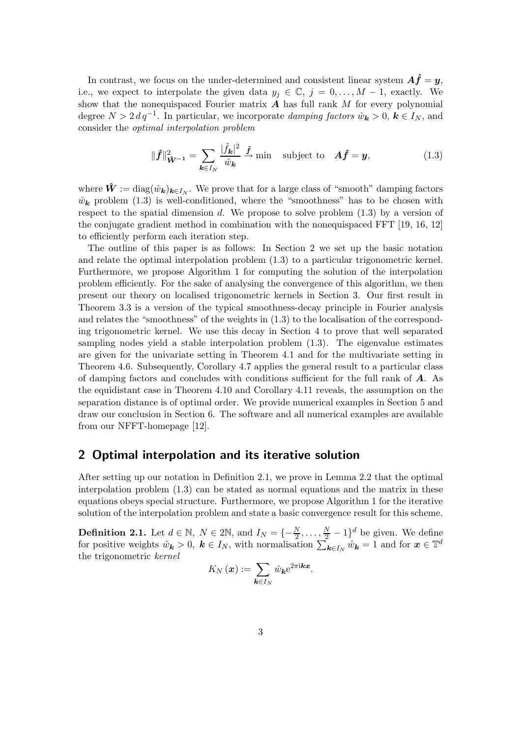In contrast, we focus on the under-determined and consistent linear system  $A\hat{f} = y$ , i.e., we expect to interpolate the given data  $y_i \in \mathbb{C}$ ,  $j = 0, \ldots, M-1$ , exactly. We show that the nonequispaced Fourier matrix  $\vec{A}$  has full rank M for every polynomial degree  $N > 2 d q^{-1}$ . In particular, we incorporate *damping factors*  $\hat{w}_k > 0$ ,  $k \in I_N$ , and consider the optimal interpolation problem

$$
\|\hat{f}\|_{\hat{\mathbf{W}}^{-1}}^2 = \sum_{\mathbf{k} \in I_N} \frac{|\hat{f}_{\mathbf{k}}|^2}{\hat{w}_{\mathbf{k}}} \stackrel{\hat{f}}{\to} \text{min} \quad \text{subject to} \quad \mathbf{A}\hat{f} = \mathbf{y}, \tag{1.3}
$$

where  $\hat{W} := \text{diag}(\hat{w}_{\mathbf{k}})_{\mathbf{k} \in I_N}$ . We prove that for a large class of "smooth" damping factors  $\hat{w}_k$  problem (1.3) is well-conditioned, where the "smoothness" has to be chosen with respect to the spatial dimension d. We propose to solve problem  $(1.3)$  by a version of the conjugate gradient method in combination with the nonequispaced FFT [19, 16, 12] to efficiently perform each iteration step.

The outline of this paper is as follows: In Section 2 we set up the basic notation and relate the optimal interpolation problem (1.3) to a particular trigonometric kernel. Furthermore, we propose Algorithm 1 for computing the solution of the interpolation problem efficiently. For the sake of analysing the convergence of this algorithm, we then present our theory on localised trigonometric kernels in Section 3. Our first result in Theorem 3.3 is a version of the typical smoothness-decay principle in Fourier analysis and relates the "smoothness" of the weights in (1.3) to the localisation of the corresponding trigonometric kernel. We use this decay in Section 4 to prove that well separated sampling nodes yield a stable interpolation problem (1.3). The eigenvalue estimates are given for the univariate setting in Theorem 4.1 and for the multivariate setting in Theorem 4.6. Subsequently, Corollary 4.7 applies the general result to a particular class of damping factors and concludes with conditions sufficient for the full rank of  $\bf{A}$ . As the equidistant case in Theorem 4.10 and Corollary 4.11 reveals, the assumption on the separation distance is of optimal order. We provide numerical examples in Section 5 and draw our conclusion in Section 6. The software and all numerical examples are available from our NFFT-homepage [12].

## 2 Optimal interpolation and its iterative solution

After setting up our notation in Definition 2.1, we prove in Lemma 2.2 that the optimal interpolation problem (1.3) can be stated as normal equations and the matrix in these equations obeys special structure. Furthermore, we propose Algorithm 1 for the iterative solution of the interpolation problem and state a basic convergence result for this scheme.

**Definition 2.1.** Let  $d \in \mathbb{N}$ ,  $N \in 2\mathbb{N}$ , and  $I_N = \{-\frac{N}{2}, \dots, \frac{N}{2} - 1\}^d$  be given. We define for positive weights  $\hat{w}_k > 0$ ,  $k \in I_N$ , with normalisation  $\sum_{k \in I_N} \hat{w}_k = 1$  and for  $x \in \mathbb{T}^d$ the trigonometric kernel

$$
K_N(\boldsymbol{x}) := \sum_{\boldsymbol{k} \in I_N} \hat{w}_{\boldsymbol{k}} e^{2\pi i \boldsymbol{k} \boldsymbol{x}}.
$$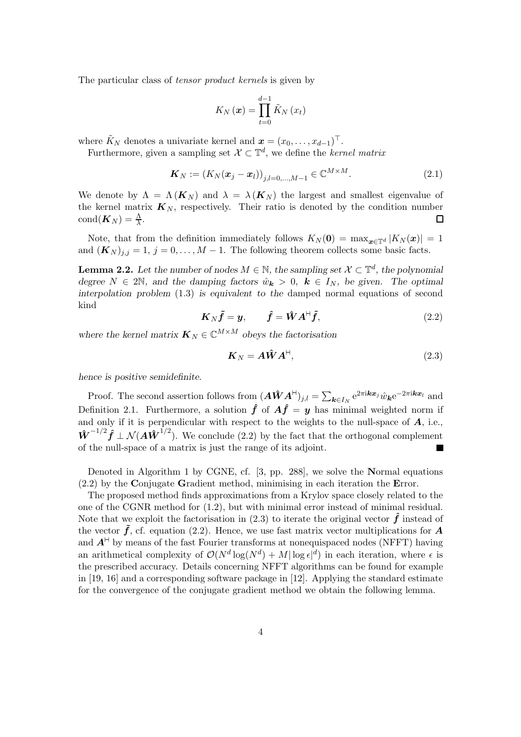The particular class of tensor product kernels is given by

$$
K_{N}\left( \boldsymbol{x}\right) =\prod_{t=0}^{d-1}\tilde{K}_{N}\left( x_{t}\right)
$$

where  $\tilde{K}_N$  denotes a univariate kernel and  $\boldsymbol{x} = (x_0, \ldots, x_{d-1})^\top$ .

Furthermore, given a sampling set  $\mathcal{X} \subset \mathbb{T}^d$ , we define the *kernel matrix* 

$$
\mathbf{K}_N := (K_N(\mathbf{x}_j - \mathbf{x}_l))_{j,l=0,\dots,M-1} \in \mathbb{C}^{M \times M}.
$$
\n(2.1)

We denote by  $\Lambda = \Lambda(K_N)$  and  $\lambda = \lambda(K_N)$  the largest and smallest eigenvalue of the kernel matrix  $\mathbf{K}_N$ , respectively. Their ratio is denoted by the condition number  $\text{cond}(\boldsymbol{K}_N) = \frac{\Lambda}{\lambda}.$  $\Box$ 

Note, that from the definition immediately follows  $K_N(\mathbf{0}) = \max_{\mathbf{x} \in \mathbb{T}^d} |K_N(\mathbf{x})| = 1$ and  $(K_N)_{i,j} = 1, j = 0, \ldots, M-1$ . The following theorem collects some basic facts.

**Lemma 2.2.** Let the number of nodes  $M \in \mathbb{N}$ , the sampling set  $\mathcal{X} \subset \mathbb{T}^d$ , the polynomial degree  $N \in 2\mathbb{N}$ , and the damping factors  $\hat{w}_k > 0$ ,  $k \in I_N$ , be given. The optimal interpolation problem (1.3) is equivalent to the damped normal equations of second kind

$$
\boldsymbol{K}_{N}\tilde{\boldsymbol{f}}=\boldsymbol{y},\qquad\hat{\boldsymbol{f}}=\hat{\boldsymbol{W}}\boldsymbol{A}^{\mathsf{H}}\tilde{\boldsymbol{f}},\tag{2.2}
$$

where the kernel matrix  $\boldsymbol{K}_N \in \mathbb{C}^{M \times M}$  obeys the factorisation

$$
\boldsymbol{K}_N = \boldsymbol{A}\hat{\boldsymbol{W}}\boldsymbol{A}^\text{H},\tag{2.3}
$$

hence is positive semidefinite.

Proof. The second assertion follows from  $(\hat{A} \hat{W} A^{\dagger})_{j,l} = \sum_{k \in I_N} e^{2\pi i k x_j} \hat{w}_k e^{-2\pi i k x_l}$  and Definition 2.1. Furthermore, a solution  $\hat{f}$  of  $A\hat{f} = y$  has minimal weighted norm if and only if it is perpendicular with respect to the weights to the null-space of  $A$ , i.e.,  $\hat{\mathbf{W}}^{-1/2} \hat{\mathbf{f}} \perp \mathcal{N}(\mathbf{A} \hat{\mathbf{W}}^{1/2})$ . We conclude (2.2) by the fact that the orthogonal complement of the null-space of a matrix is just the range of its adjoint. **In the Second State** 

Denoted in Algorithm 1 by CGNE, cf. [3, pp. 288], we solve the Normal equations (2.2) by the Conjugate Gradient method, minimising in each iteration the Error.

The proposed method finds approximations from a Krylov space closely related to the one of the CGNR method for (1.2), but with minimal error instead of minimal residual. Note that we exploit the factorisation in  $(2.3)$  to iterate the original vector  $\hat{f}$  instead of the vector  $\tilde{f}$ , cf. equation (2.2). Hence, we use fast matrix vector multiplications for A and  $A^{\dagger}$  by means of the fast Fourier transforms at nonequispaced nodes (NFFT) having an arithmetical complexity of  $\mathcal{O}(N^d \log(N^d) + M |\log \epsilon|^d)$  in each iteration, where  $\epsilon$  is the prescribed accuracy. Details concerning NFFT algorithms can be found for example in [19, 16] and a corresponding software package in [12]. Applying the standard estimate for the convergence of the conjugate gradient method we obtain the following lemma.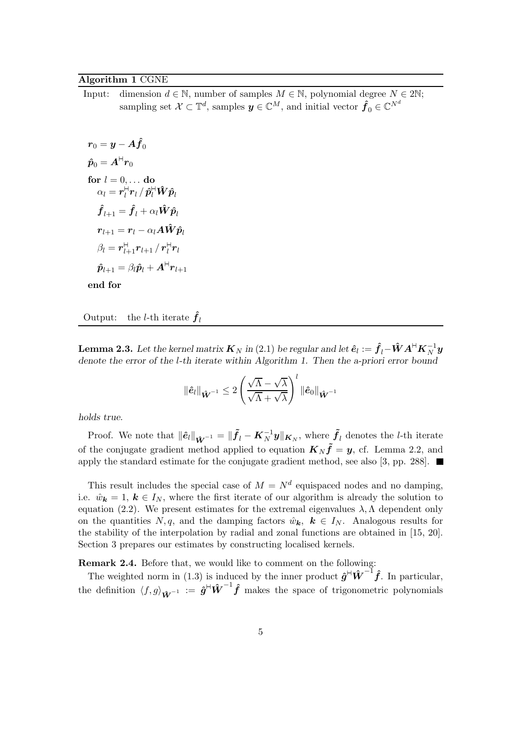#### Algorithm 1 CGNE

Input: dimension  $d \in \mathbb{N}$ , number of samples  $M \in \mathbb{N}$ , polynomial degree  $N \in 2\mathbb{N}$ ; sampling set  $\mathcal{X} \subset \mathbb{T}^d$ , samples  $\mathbf{y} \in \mathbb{C}^M$ , and initial vector  $\hat{\mathbf{f}}_0 \in \mathbb{C}^{N^d}$ 

$$
\begin{aligned} r_0 &= y - A \hat{f}_0 \\ \hat{p}_0 &= A^{\mathsf{H}} r_0 \\ \text{for } l &= 0, \ldots \text{ do} \\ \alpha_l &= r^{\mathsf{H}}_l r_l \, / \, \hat{p}^{\mathsf{H}}_l \hat{W} \hat{p}_l \\ \hat{f}_{l+1} &= \hat{f}_l + \alpha_l \hat{W} \hat{p}_l \\ r_{l+1} &= r_l - \alpha_l A \hat{W} \hat{p}_l \\ \beta_l &= r^{\mathsf{H}}_{l+1} r_{l+1} \, / \, r^{\mathsf{H}}_l r_l \\ \hat{p}_{l+1} &= \beta_l \hat{p}_l + A^{\mathsf{H}} r_{l+1} \\ \text{and for} \end{aligned}
$$

end for

Output: the *l*-th iterate  $\hat{f}_l$ 

**Lemma 2.3.** Let the kernel matrix  $\bm{K}_N$  in (2.1) be regular and let  $\bm{\hat{e}}_l:=\hat{\bm{f}}_l\!-\!\bm{\hat{W}}\bm{A}^{\mathsf{H}}\bm{K}_N^{-1}\bm{y}$ denote the error of the l-th iterate within Algorithm 1. Then the a-priori error bound

$$
\|\hat{\boldsymbol{e}}_l\|_{\hat{\boldsymbol{W}}^{-1}} \leq 2 \left(\frac{\sqrt{\Lambda} - \sqrt{\lambda}}{\sqrt{\Lambda} + \sqrt{\lambda}}\right)^l \|\hat{\boldsymbol{e}}_0\|_{\hat{\boldsymbol{W}}^{-1}}
$$

holds true.

Proof. We note that  $\|\hat{\bm{e}}_l\|_{\hat{\bm{W}}^{-1}} = \|\tilde{\bm{f}}_l - \bm{K}_N^{-1} \bm{y}\|_{\bm{K}_N}$ , where  $\tilde{\bm{f}}_l$  denotes the *l*-th iterate of the conjugate gradient method applied to equation  $K_N \tilde{f} = y$ , cf. Lemma 2.2, and apply the standard estimate for the conjugate gradient method, see also [3, pp. 288].  $\blacksquare$ 

This result includes the special case of  $M = N<sup>d</sup>$  equispaced nodes and no damping, i.e.  $\hat{w}_k = 1, k \in I_N$ , where the first iterate of our algorithm is already the solution to equation (2.2). We present estimates for the extremal eigenvalues  $\lambda$ ,  $\Lambda$  dependent only on the quantities N, q, and the damping factors  $\hat{w}_k$ ,  $k \in I_N$ . Analogous results for the stability of the interpolation by radial and zonal functions are obtained in [15, 20]. Section 3 prepares our estimates by constructing localised kernels.

Remark 2.4. Before that, we would like to comment on the following:

The weighted norm in (1.3) is induced by the inner product  $\hat{g}^{\text{H}} \hat{W}^{-1} \hat{f}$ . In particular, the definition  $\langle f, g \rangle_{\hat{\mathbf{W}}^{-1}} := \hat{\boldsymbol{g}}^{\text{H}} \hat{\boldsymbol{W}}^{-1} \hat{\boldsymbol{f}}$  makes the space of trigonometric polynomials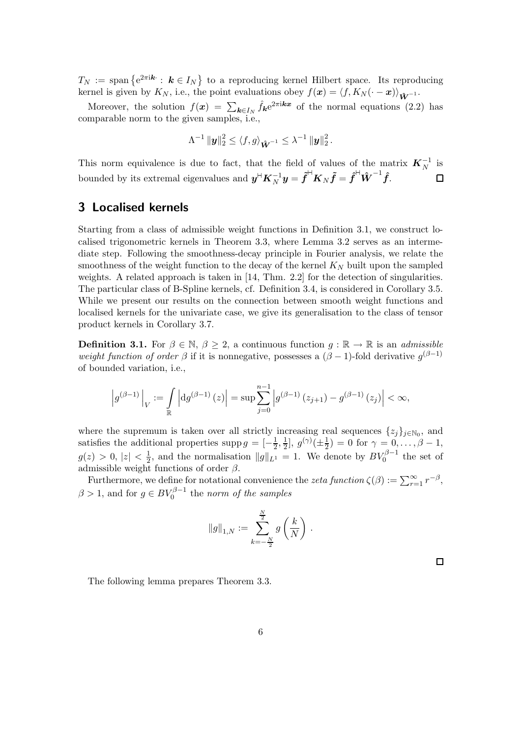$T_N := \text{span} \{ e^{2\pi i k} : k \in I_N \}$  to a reproducing kernel Hilbert space. Its reproducing kernel is given by  $K_N$ , i.e., the point evaluations obey  $f(\mathbf{x}) = \langle f, K_N(\cdot - \mathbf{x}) \rangle_{\hat{\mathbf{W}}^{-1}}$ .

Moreover, the solution  $f(x) = \sum_{k \in I_N} \hat{f}_k e^{2\pi i k x}$  of the normal equations (2.2) has comparable norm to the given samples, i.e.,

$$
\Lambda^{-1} \|\mathbf{y}\|_2^2 \leq \langle f, g \rangle_{\hat{\mathbf{W}}^{-1}} \leq \lambda^{-1} \|\mathbf{y}\|_2^2.
$$

This norm equivalence is due to fact, that the field of values of the matrix  $K_N^{-1}$  is bounded by its extremal eigenvalues and  $y^{\mathsf{H}}\boldsymbol{K}_N^{-1}y = \tilde{\boldsymbol{f}}^{\mathsf{H}}\boldsymbol{K}_N\tilde{\boldsymbol{f}} = \hat{\boldsymbol{f}}^{\mathsf{H}}\hat{\boldsymbol{W}}^{-1}\hat{\boldsymbol{f}}.$ ◻

# 3 Localised kernels

Starting from a class of admissible weight functions in Definition 3.1, we construct localised trigonometric kernels in Theorem 3.3, where Lemma 3.2 serves as an intermediate step. Following the smoothness-decay principle in Fourier analysis, we relate the smoothness of the weight function to the decay of the kernel  $K_N$  built upon the sampled weights. A related approach is taken in [14, Thm. 2.2] for the detection of singularities. The particular class of B-Spline kernels, cf. Definition 3.4, is considered in Corollary 3.5. While we present our results on the connection between smooth weight functions and localised kernels for the univariate case, we give its generalisation to the class of tensor product kernels in Corollary 3.7.

**Definition 3.1.** For  $\beta \in \mathbb{N}, \beta \geq 2$ , a continuous function  $g : \mathbb{R} \to \mathbb{R}$  is an *admissible* weight function of order  $\beta$  if it is nonnegative, possesses a  $(\beta - 1)$ -fold derivative  $g^{(\beta - 1)}$ of bounded variation, i.e.,

$$
\left| g^{(\beta-1)} \right|_V := \int_{\mathbb{R}} \left| dg^{(\beta-1)}(z) \right| = \sup \sum_{j=0}^{n-1} \left| g^{(\beta-1)}(z_{j+1}) - g^{(\beta-1)}(z_j) \right| < \infty,
$$

where the supremum is taken over all strictly increasing real sequences  $\{z_j\}_{j\in\mathbb{N}_0}$ , and satisfies the additional properties supp  $g = \left[-\frac{1}{2}, \frac{1}{2}\right]$  $\frac{1}{2}$ ,  $g^{(\gamma)}(\pm \frac{1}{2}) = 0$  for  $\gamma = 0, \ldots, \beta - 1$ ,  $g(z) > 0, |z| < \frac{1}{2}$ , and the normalisation  $||g||_{L^1} = 1$ . We denote by  $BV_0^{\beta - 1}$  the set of admissible weight functions of order  $\beta$ .

Furthermore, we define for notational convenience the zeta function  $\zeta(\beta) := \sum_{r=1}^{\infty} r^{-\beta}$ ,  $\beta > 1$ , and for  $g \in BV_0^{\beta - 1}$  the norm of the samples

$$
\|g\|_{1,N}:=\sum_{k=-\frac{N}{2}}^{\frac{N}{2}}g\left(\frac{k}{N}\right)\,.
$$

 $\Box$ 

The following lemma prepares Theorem 3.3.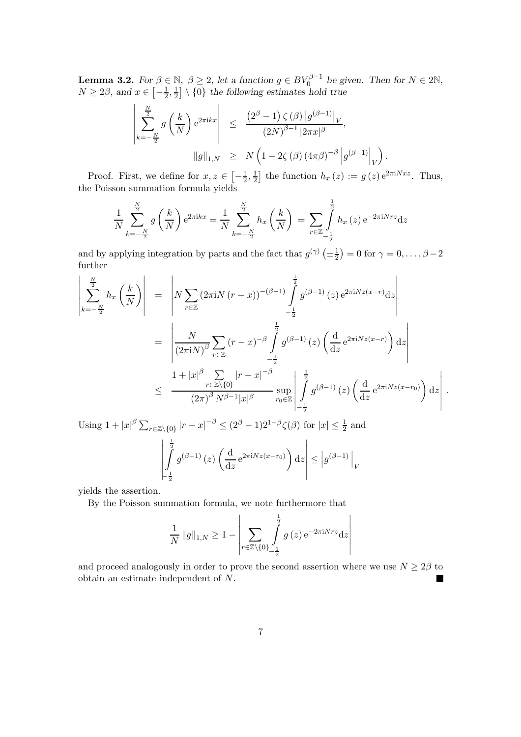**Lemma 3.2.** For  $\beta \in \mathbb{N}$ ,  $\beta \geq 2$ , let a function  $g \in BV_0^{\beta-1}$  be given. Then for  $N \in 2\mathbb{N}$ ,  $N \ge 2\beta$ , and  $x \in \left[-\frac{1}{2}\right]$  $\frac{1}{2}, \frac{1}{2}$  $\frac{1}{2}$  \ {0} the following estimates hold true

$$
\left| \sum_{k=-\frac{N}{2}}^{\frac{N}{2}} g\left(\frac{k}{N}\right) e^{2\pi i kx} \right| \leq \frac{\left(2^{\beta}-1\right) \zeta(\beta) \left|g^{(\beta-1)}\right|_{V}}{\left(2N\right)^{\beta-1} \left|2\pi x\right|^{\beta}},
$$
  

$$
\|g\|_{1,N} \geq N \left(1-2\zeta(\beta) \left(4\pi\beta\right)^{-\beta} \left|g^{(\beta-1)}\right|_{V}\right).
$$

Proof. First, we define for  $x, z \in \left[-\frac{1}{2}, \frac{1}{2}\right]$  $\frac{1}{2}$  the function  $h_x(z) := g(z) e^{2\pi i N x z}$ . Thus, the Poisson summation formula yields

$$
\frac{1}{N} \sum_{k=-\frac{N}{2}}^{\frac{N}{2}} g\left(\frac{k}{N}\right) e^{2\pi i kx} = \frac{1}{N} \sum_{k=-\frac{N}{2}}^{\frac{N}{2}} h_x\left(\frac{k}{N}\right) = \sum_{r \in \mathbb{Z}} \int_{-\frac{1}{2}}^{\frac{1}{2}} h_x\left(z\right) e^{-2\pi i N rz} dz
$$

and by applying integration by parts and the fact that  $g^{(\gamma)}(\pm \frac{1}{2}) = 0$  for  $\gamma = 0, \ldots, \beta - 2$ further

$$
\begin{split}\n\left| \sum_{k=-\frac{N}{2}}^{\frac{N}{2}} h_{x} \left( \frac{k}{N} \right) \right| &= \left| N \sum_{r \in \mathbb{Z}} (2 \pi i N (r - x))^{-(\beta - 1)} \int_{-\frac{1}{2}}^{\frac{1}{2}} g^{(\beta - 1)}(z) e^{2 \pi i N z (x - r)} dz \right| \\
&= \left| \frac{N}{(2 \pi i N)^{\beta}} \sum_{r \in \mathbb{Z}} (r - x)^{-\beta} \int_{-\frac{1}{2}}^{\frac{1}{2}} g^{(\beta - 1)}(z) \left( \frac{d}{dz} e^{2 \pi i N z (x - r)} \right) dz \right| \\
& \leq \frac{1 + |x|^{\beta} \sum_{r \in \mathbb{Z} \setminus \{0\}} |r - x|^{-\beta}}{(2 \pi)^{\beta} N^{\beta - 1} |x|^{\beta}} \sup_{r_0 \in \mathbb{Z}} \left| \int_{-\frac{1}{2}}^{\frac{1}{2}} g^{(\beta - 1)}(z) \left( \frac{d}{dz} e^{2 \pi i N z (x - r_0)} \right) dz \right|.\n\end{split}
$$

Using  $1+|x|^{\beta}\sum_{r\in\mathbb{Z}\backslash\{0\}}|r-x|^{-\beta}\leq (2^{\beta}-1)2^{1-\beta}\zeta(\beta)$  for  $|x|\leq\frac{1}{2}$  and

$$
\left| \int_{-\frac{1}{2}}^{\frac{1}{2}} g^{(\beta - 1)}(z) \left( \frac{d}{dz} e^{2\pi i N z (x - r_0)} \right) dz \right| \le \left| g^{(\beta - 1)} \right|_V
$$

yields the assertion.

By the Poisson summation formula, we note furthermore that

$$
\frac{1}{N} \|g\|_{1,N} \ge 1 - \left| \sum_{r \in \mathbb{Z} \setminus \{0\}} \int_{-\frac{1}{2}}^{\frac{1}{2}} g(z) e^{-2\pi i N r z} dz \right|
$$

and proceed analogously in order to prove the second assertion where we use  $N \geq 2\beta$  to obtain an estimate independent of N.  $\blacksquare$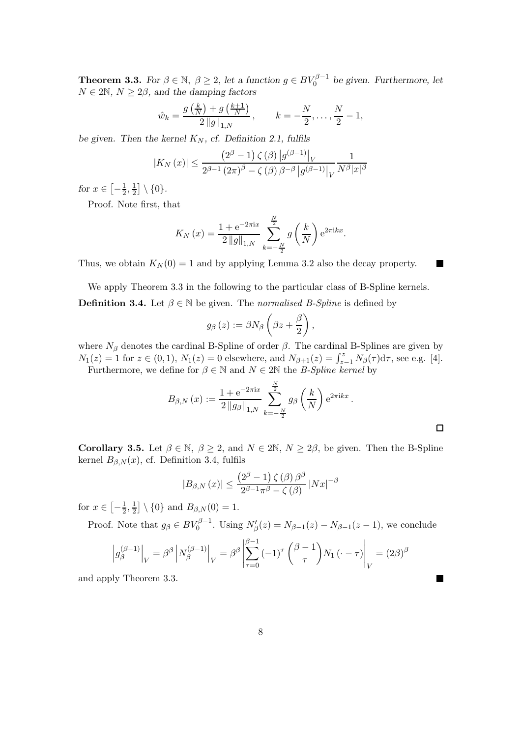**Theorem 3.3.** For  $\beta \in \mathbb{N}$ ,  $\beta \geq 2$ , let a function  $g \in BV_0^{\beta-1}$  be given. Furthermore, let  $N \in 2\mathbb{N}, N \geq 2\beta$ , and the damping factors

$$
\hat{w}_k = \frac{g\left(\frac{k}{N}\right) + g\left(\frac{k+1}{N}\right)}{2\|g\|_{1,N}}, \qquad k = -\frac{N}{2}, \dots, \frac{N}{2} - 1,
$$

be given. Then the kernel  $K_N$ , cf. Definition 2.1, fulfils

$$
|K_N(x)| \le \frac{(2^{\beta} - 1) \zeta(\beta) |g^{(\beta - 1)}|_V}{2^{\beta - 1} (2\pi)^{\beta} - \zeta(\beta) \beta^{-\beta} |g^{(\beta - 1)}|_V} \frac{1}{N^{\beta} |x|^{\beta}}
$$

for  $x \in \left[-\frac{1}{2}\right]$  $\frac{1}{2}, \frac{1}{2}$  $\frac{1}{2}$  \ {0}.

Proof. Note first, that

$$
K_N(x) = \frac{1 + e^{-2\pi ix}}{2\|g\|_{1,N}} \sum_{k=-\frac{N}{2}}^{\frac{N}{2}} g\left(\frac{k}{N}\right) e^{2\pi i kx}.
$$

Thus, we obtain  $K_N(0) = 1$  and by applying Lemma 3.2 also the decay property.

We apply Theorem 3.3 in the following to the particular class of B-Spline kernels. **Definition 3.4.** Let  $\beta \in \mathbb{N}$  be given. The *normalised B-Spline* is defined by

$$
g_{\beta}\left(z\right):=\beta N_{\beta}\left(\beta z+\frac{\beta}{2}\right)
$$

where  $N_\beta$  denotes the cardinal B-Spline of order  $\beta$ . The cardinal B-Splines are given by  $N_1(z) = 1$  for  $z \in (0, 1)$ ,  $N_1(z) = 0$  elsewhere, and  $N_{\beta+1}(z) = \int_{z-1}^{z} N_{\beta}(\tau) d\tau$ , see e.g. [4]. Furthermore, we define for  $\beta \in \mathbb{N}$  and  $N \in 2\mathbb{N}$  the *B-Spline kernel* by

$$
B_{\beta,N}(x) := \frac{1 + e^{-2\pi ix}}{2 \|g_{\beta}\|_{1,N}} \sum_{k=-\frac{N}{2}}^{\frac{N}{2}} g_{\beta}\left(\frac{k}{N}\right) e^{2\pi i k x} .
$$

,

П

 $\blacksquare$ 

Corollary 3.5. Let  $\beta \in \mathbb{N}, \beta \geq 2$ , and  $N \in 2\mathbb{N}, N \geq 2\beta$ , be given. Then the B-Spline kernel  $B_{\beta,N}(x)$ , cf. Definition 3.4, fulfils

$$
|B_{\beta,N}(x)| \le \frac{\left(2^{\beta} - 1\right)\zeta(\beta)\beta^{\beta}}{2^{\beta - 1}\pi^{\beta} - \zeta(\beta)}\,|Nx|^{-\beta}
$$

for  $x \in \left[ -\frac{1}{2}, \frac{1}{2} \right]$  $\frac{1}{2}$  \ {0} and  $B_{\beta,N}(0) = 1$ .

Proof. Note that  $g_{\beta} \in BV_0^{\beta-1}$ . Using  $N'_{\beta}(z) = N_{\beta-1}(z) - N_{\beta-1}(z-1)$ , we conclude

$$
\left| g_{\beta}^{(\beta-1)} \right|_{V} = \beta^{\beta} \left| N_{\beta}^{(\beta-1)} \right|_{V} = \beta^{\beta} \left| \sum_{\tau=0}^{\beta-1} (-1)^{\tau} \binom{\beta-1}{\tau} N_{1} \left( \cdot - \tau \right) \right|_{V} = (2\beta)^{\beta}
$$

and apply Theorem 3.3.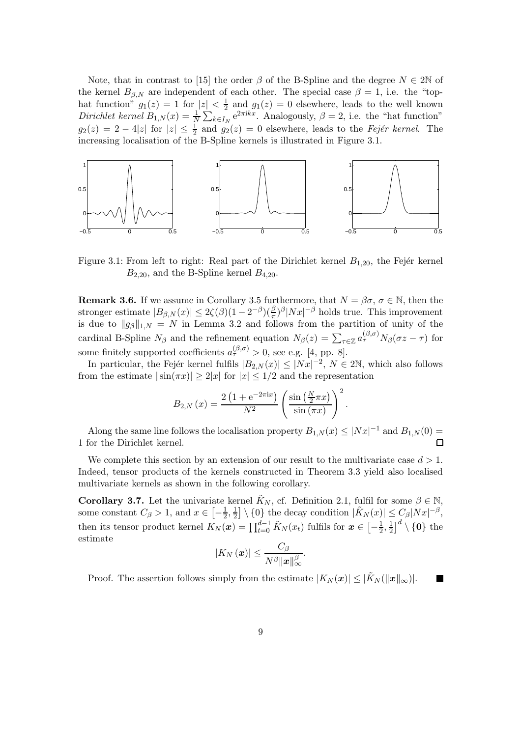Note, that in contrast to [15] the order  $\beta$  of the B-Spline and the degree  $N \in 2\mathbb{N}$  of the kernel  $B_{\beta,N}$  are independent of each other. The special case  $\beta = 1$ , i.e. the "tophat function"  $g_1(z) = 1$  for  $|z| < \frac{1}{2}$  $\frac{1}{2}$  and  $g_1(z) = 0$  elsewhere, leads to the well known Dirichlet kernel  $B_{1,N}(x) = \frac{1}{N} \sum_{k \in I_N} e^{2\pi i k x}$ . Analogously,  $\beta = 2$ , i.e. the "hat function"  $g_2(z) = 2 - 4|z|$  for  $|z| \leq \frac{1}{2}$  and  $g_2(z) = 0$  elsewhere, leads to the *Fejér kernel*. The increasing localisation of the B-Spline kernels is illustrated in Figure 3.1.



Figure 3.1: From left to right: Real part of the Dirichlet kernel  $B_{1,20}$ , the Fejér kernel  $B_{2,20}$ , and the B-Spline kernel  $B_{4,20}$ .

**Remark 3.6.** If we assume in Corollary 3.5 furthermore, that  $N = \beta \sigma$ ,  $\sigma \in \mathbb{N}$ , then the stronger estimate  $|B_{\beta,N}(x)| \leq 2\zeta(\beta)(1-2^{-\beta})(\frac{\beta}{\pi})^{\beta}|Nx|^{-\beta}$  holds true. This improvement is due to  $||g_{\beta}||_{1,N} = N$  in Lemma 3.2 and follows from the partition of unity of the cardinal B-Spline  $N_{\beta}$  and the refinement equation  $N_{\beta}(z) = \sum_{\tau \in \mathbb{Z}} a_{\tau}^{(\beta,\sigma)} N_{\beta}(\sigma z - \tau)$  for some finitely supported coefficients  $a_{\tau}^{(\beta,\sigma)} > 0$ , see e.g. [4, pp. 8].

In particular, the Fejér kernel fulfils  $|B_{2,N}(x)| \le |Nx|^{-2}$ ,  $N \in 2\mathbb{N}$ , which also follows from the estimate  $|\sin(\pi x)| \geq 2|x|$  for  $|x| \leq 1/2$  and the representation

$$
B_{2,N}(x) = \frac{2\left(1 + e^{-2\pi ix}\right)}{N^2} \left(\frac{\sin\left(\frac{N}{2}\pi x\right)}{\sin\left(\pi x\right)}\right)^2
$$

.

Along the same line follows the localisation property  $B_{1,N}(x) \leq |Nx|^{-1}$  and  $B_{1,N}(0) =$ 1 for the Dirichlet kernel. П

We complete this section by an extension of our result to the multivariate case  $d > 1$ . Indeed, tensor products of the kernels constructed in Theorem 3.3 yield also localised multivariate kernels as shown in the following corollary.

**Corollary 3.7.** Let the univariate kernel  $K_N$ , cf. Definition 2.1, fulfil for some  $\beta \in \mathbb{N}$ , some constant  $C_{\beta} > 1$ , and  $x \in \left[-\frac{1}{2}\right]$  $\frac{1}{2}, \frac{1}{2}$  $\frac{1}{2}$  \ {0} the decay condition  $|\tilde{K}_N(x)| \leq C_{\beta} |Nx|^{-\beta}$ , then its tensor product kernel  $K_N(\boldsymbol{x}) = \prod_{t=0}^{d-1} \tilde{K}_N(x_t)$  fulfils for  $\boldsymbol{x} \in \left[-\frac{1}{2}\right]$  $\frac{1}{2}, \frac{1}{2}$  $\left[\frac{1}{2}\right]^d \setminus \{\mathbf{0}\}$  the estimate

$$
|K_N(\boldsymbol{x})| \leq \frac{C_\beta}{N^\beta \|\boldsymbol{x}\|_\infty^\beta}.
$$

Proof. The assertion follows simply from the estimate  $|K_N(\boldsymbol{x})| \leq |\tilde{K}_N(\|\boldsymbol{x}\|_{\infty})|$ . П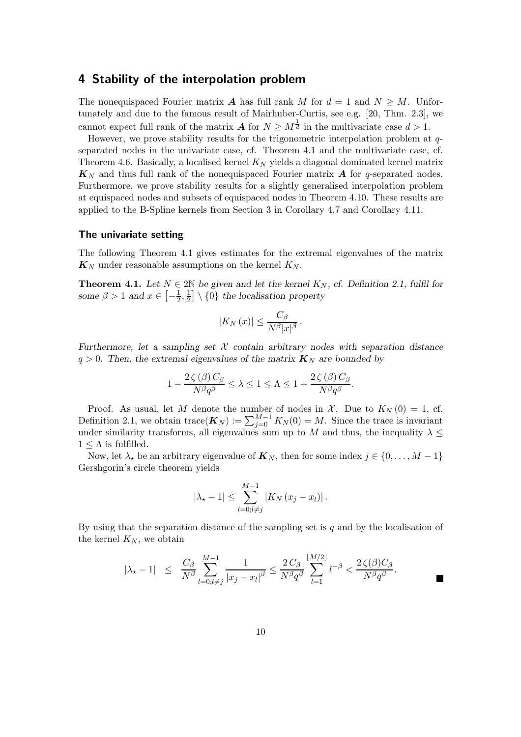### 4 Stability of the interpolation problem

The nonequispaced Fourier matrix **A** has full rank M for  $d = 1$  and  $N \geq M$ . Unfortunately and due to the famous result of Mairhuber-Curtis, see e.g. [20, Thm. 2.3], we cannot expect full rank of the matrix  $A$  for  $N \geq M^{\frac{1}{d}}$  in the multivariate case  $d > 1$ .

However, we prove stability results for the trigonometric interpolation problem at qseparated nodes in the univariate case, cf. Theorem 4.1 and the multivariate case, cf. Theorem 4.6. Basically, a localised kernel  $K_N$  yields a diagonal dominated kernel matrix  $\mathbf{K}_N$  and thus full rank of the nonequispaced Fourier matrix A for q-separated nodes. Furthermore, we prove stability results for a slightly generalised interpolation problem at equispaced nodes and subsets of equispaced nodes in Theorem 4.10. These results are applied to the B-Spline kernels from Section 3 in Corollary 4.7 and Corollary 4.11.

#### The univariate setting

The following Theorem 4.1 gives estimates for the extremal eigenvalues of the matrix  $\mathbf{K}_N$  under reasonable assumptions on the kernel  $K_N$ .

**Theorem 4.1.** Let  $N \in 2\mathbb{N}$  be given and let the kernel  $K_N$ , cf. Definition 2.1, fulfil for some  $\beta > 1$  and  $x \in \left[-\frac{1}{2}\right]$  $\frac{1}{2}, \frac{1}{2}$  $\frac{1}{2}$  \ {0} the localisation property

$$
|K_N(x)| \leq \frac{C_\beta}{N^\beta |x|^\beta}.
$$

Furthermore, let a sampling set  $X$  contain arbitrary nodes with separation distance  $q > 0$ . Then, the extremal eigenvalues of the matrix  $\mathbf{K}_N$  are bounded by

$$
1 - \frac{2\zeta(\beta) C_{\beta}}{N^{\beta}q^{\beta}} \leq \lambda \leq 1 \leq \Lambda \leq 1 + \frac{2\zeta(\beta) C_{\beta}}{N^{\beta}q^{\beta}}.
$$

Proof. As usual, let M denote the number of nodes in  $\mathcal{X}$ . Due to  $K_N(0) = 1$ , cf. Definition 2.1, we obtain  $\text{trace}(\boldsymbol{K}_N) := \sum_{j=0}^{M-1} K_N(0) = M$ . Since the trace is invariant under similarity transforms, all eigenvalues sum up to M and thus, the inequality  $\lambda \leq$  $1 \leq \Lambda$  is fulfilled.

Now, let  $\lambda_{\star}$  be an arbitrary eigenvalue of  $\mathbf{K}_{N}$ , then for some index  $j \in \{0, \ldots, M-1\}$ Gershgorin's circle theorem yields

$$
|\lambda_{\star} - 1| \leq \sum_{l=0; l \neq j}^{M-1} |K_N (x_j - x_l)|.
$$

By using that the separation distance of the sampling set is  $q$  and by the localisation of the kernel  $K_N$ , we obtain

$$
|\lambda_{\star} - 1| \le \frac{C_{\beta}}{N^{\beta}} \sum_{l=0; l \neq j}^{M-1} \frac{1}{|x_j - x_l|^{\beta}} \le \frac{2C_{\beta}}{N^{\beta} q^{\beta}} \sum_{l=1}^{\lfloor M/2 \rfloor} l^{-\beta} < \frac{2\zeta(\beta)C_{\beta}}{N^{\beta} q^{\beta}}.
$$

 $\blacksquare$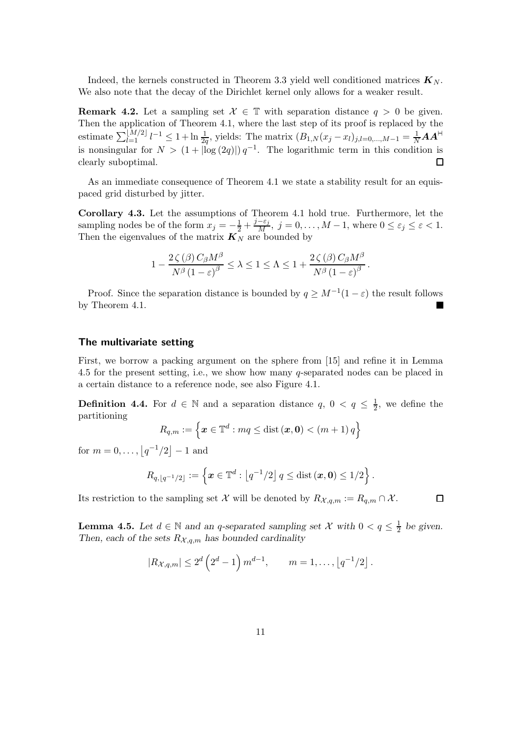Indeed, the kernels constructed in Theorem 3.3 yield well conditioned matrices  $\mathbf{K}_{N}$ . We also note that the decay of the Dirichlet kernel only allows for a weaker result.

**Remark 4.2.** Let a sampling set  $\mathcal{X} \in \mathbb{T}$  with separation distance  $q > 0$  be given. Then the application of Theorem 4.1, where the last step of its proof is replaced by the estimate  $\sum_{l=1}^{\lfloor M/2 \rfloor} l^{-1} \leq 1 + \ln \frac{1}{2q}$ , yields: The matrix  $(B_{1,N}(x_j - x_l)_{j,l=0,...,M-1} = \frac{1}{N} A A^{H}$ is nonsingular for  $N > (1 + |\log (2q)|) q^{-1}$ . The logarithmic term in this condition is clearly suboptimal.  $\Box$ 

As an immediate consequence of Theorem 4.1 we state a stability result for an equispaced grid disturbed by jitter.

Corollary 4.3. Let the assumptions of Theorem 4.1 hold true. Furthermore, let the sampling nodes be of the form  $x_j = -\frac{1}{2} + \frac{j-\varepsilon_j}{M}$ ,  $j = 0, \ldots, M-1$ , where  $0 \le \varepsilon_j \le \varepsilon < 1$ . Then the eigenvalues of the matrix  $\boldsymbol{K}_N$  are bounded by

$$
1 - \frac{2\zeta(\beta) C_{\beta}M^{\beta}}{N^{\beta}(1-\varepsilon)^{\beta}} \le \lambda \le 1 \le \Lambda \le 1 + \frac{2\zeta(\beta) C_{\beta}M^{\beta}}{N^{\beta}(1-\varepsilon)^{\beta}}.
$$

Proof. Since the separation distance is bounded by  $q \geq M^{-1}(1-\varepsilon)$  the result follows by Theorem 4.1.

#### The multivariate setting

First, we borrow a packing argument on the sphere from [15] and refine it in Lemma 4.5 for the present setting, i.e., we show how many q-separated nodes can be placed in a certain distance to a reference node, see also Figure 4.1.

**Definition 4.4.** For  $d \in \mathbb{N}$  and a separation distance  $q, 0 < q \leq \frac{1}{2}$ , we define the partitioning

$$
R_{q,m} := \left\{ \boldsymbol{x} \in \mathbb{T}^d : mq \leq \text{dist} \left( \boldsymbol{x}, \boldsymbol{0} \right) < \left( m + 1 \right) q \right\}
$$

for  $m = 0, ..., \lfloor q^{-1}/2 \rfloor - 1$  and

$$
R_{q,\lfloor q^{-1}/2\rfloor}:=\left\{\boldsymbol{x}\in\mathbb{T}^d:\left\lfloor q^{-1}/2\right\rfloor q\leq \text{dist}\left(\boldsymbol{x},\boldsymbol{0}\right)\leq 1/2\right\}.
$$

Its restriction to the sampling set X will be denoted by  $R_{\mathcal{X},q,m} := R_{q,m} \cap \mathcal{X}$ .

 $\Box$ 

**Lemma 4.5.** Let  $d \in \mathbb{N}$  and an q-separated sampling set X with  $0 < q \leq \frac{1}{2}$  $rac{1}{2}$  be given. Then, each of the sets  $R_{\mathcal{X},q,m}$  has bounded cardinality

$$
|R_{\mathcal{X},q,m}| \leq 2^d \left(2^d - 1\right) m^{d-1}, \qquad m = 1, \ldots, \left\lfloor q^{-1}/2 \right\rfloor.
$$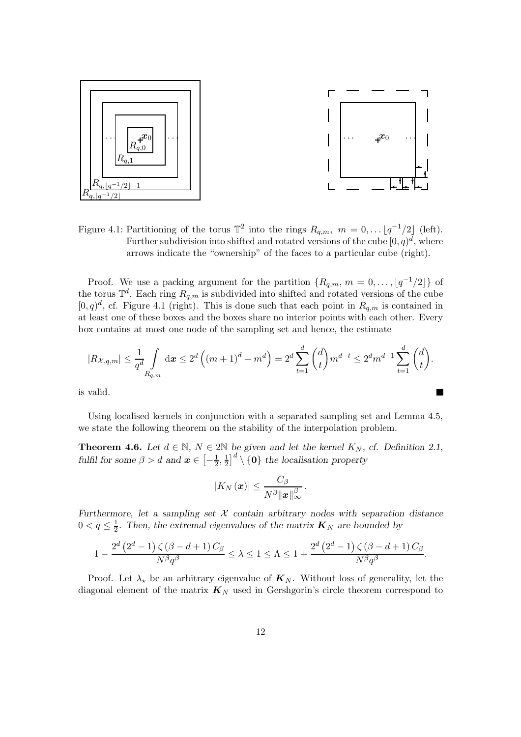

Figure 4.1: Partitioning of the torus  $\mathbb{T}^2$  into the rings  $R_{q,m}$ ,  $m = 0, \ldots \lfloor q^{-1}/2 \rfloor$  (left). Further subdivision into shifted and rotated versions of the cube  $[0, q)^d$ , where arrows indicate the "ownership" of the faces to a particular cube (right).

Proof. We use a packing argument for the partition  $\{R_{q,m}, m = 0, \ldots, \lfloor q^{-1}/2 \rfloor\}$  of the torus  $\mathbb{T}^d$ . Each ring  $R_{q,m}$  is subdivided into shifted and rotated versions of the cube  $[0, q)^d$ , cf. Figure 4.1 (right). This is done such that each point in  $R_{q,m}$  is contained in at least one of these boxes and the boxes share no interior points with each other. Every box contains at most one node of the sampling set and hence, the estimate

$$
|R_{\mathcal{X},q,m}| \leq \frac{1}{q^d} \int\limits_{R_{q,m}} dx \leq 2^d \left( (m+1)^d - m^d \right) = 2^d \sum\limits_{t=1}^d \binom{d}{t} m^{d-t} \leq 2^d m^{d-1} \sum\limits_{t=1}^d \binom{d}{t}.
$$

is valid.

Using localised kernels in conjunction with a separated sampling set and Lemma 4.5, we state the following theorem on the stability of the interpolation problem.

**Theorem 4.6.** Let  $d \in \mathbb{N}$ ,  $N \in 2\mathbb{N}$  be given and let the kernel  $K_N$ , cf. Definition 2.1, fulfil for some  $\beta > d$  and  $\boldsymbol{x} \in \left[ -\frac{1}{2} \right]$  $\frac{1}{2}, \frac{1}{2}$  $\left(\frac{1}{2}\right)^d \setminus \{\mathbf{0}\}\$  the localisation property

$$
\left|K_N\left(\bm{x}\right)\right|\leq \frac{C_\beta}{N^{\beta}\|\bm{x}\|_\infty^{\beta}}\,.
$$

Furthermore, let a sampling set  $X$  contain arbitrary nodes with separation distance  $0 < q \leq \frac{1}{2}$  $\frac{1}{2}$ . Then, the extremal eigenvalues of the matrix  $K_N$  are bounded by

$$
1-\frac{2^d \left(2^d-1\right) \zeta \left(\beta -d+1\right) C_\beta}{N^\beta q^\beta}\leq \lambda \leq 1 \leq \Lambda \leq 1+\frac{2^d \left(2^d-1\right) \zeta \left(\beta -d+1\right) C_\beta}{N^\beta q^\beta}.
$$

Proof. Let  $\lambda_{\star}$  be an arbitrary eigenvalue of  $\mathbf{K}_N$ . Without loss of generality, let the diagonal element of the matrix  $K_N$  used in Gershgorin's circle theorem correspond to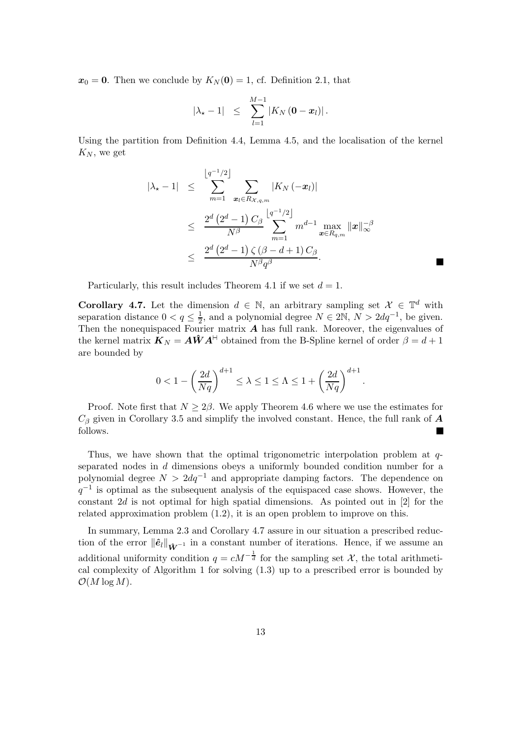$x_0 = 0$ . Then we conclude by  $K_N(0) = 1$ , cf. Definition 2.1, that

$$
|\lambda_{\star}-1| \leq \sum_{l=1}^{M-1} |K_N(\mathbf{0}-\mathbf{x}_l)|.
$$

Using the partition from Definition 4.4, Lemma 4.5, and the localisation of the kernel  $K_N$ , we get

$$
|\lambda_{\star}-1| \leq \sum_{m=1}^{\lfloor q^{-1}/2 \rfloor} \sum_{\bm{x}_l \in R_{\mathcal{X},q,m}} |K_N(-\bm{x}_l)|
$$
  
\$\leq \frac{2^d (2^d-1) C\_{\beta}}{N^{\beta}} \sum\_{m=1}^{\lfloor q^{-1}/2 \rfloor} m^{d-1} \max\_{\bm{x} \in R\_{q,m}} \|\bm{x}\|\_{\infty}^{-\beta}\$  
\$\leq \frac{2^d (2^d-1) \zeta (\beta-d+1) C\_{\beta}}{N^{\beta} q^{\beta}}.\$

Particularly, this result includes Theorem 4.1 if we set  $d = 1$ .

**Corollary 4.7.** Let the dimension  $d \in \mathbb{N}$ , an arbitrary sampling set  $\mathcal{X} \in \mathbb{T}^d$  with separation distance  $0 < q \leq \frac{1}{2}$  $\frac{1}{2}$ , and a polynomial degree  $N \in 2\mathbb{N}$ ,  $N > 2dq^{-1}$ , be given. Then the nonequispaced Fourier matrix  $A$  has full rank. Moreover, the eigenvalues of the kernel matrix  $\mathbf{K}_N = \mathbf{A}\hat{\mathbf{W}}\mathbf{A}^{\text{H}}$  obtained from the B-Spline kernel of order  $\beta = d+1$ are bounded by

$$
0 < 1 - \left(\frac{2d}{Nq}\right)^{d+1} \le \lambda \le 1 \le \Lambda \le 1 + \left(\frac{2d}{Nq}\right)^{d+1}
$$

.

Proof. Note first that  $N \geq 2\beta$ . We apply Theorem 4.6 where we use the estimates for  $C_\beta$  given in Corollary 3.5 and simplify the involved constant. Hence, the full rank of  $\boldsymbol{A}$ follows. L.

Thus, we have shown that the optimal trigonometric interpolation problem at qseparated nodes in d dimensions obeys a uniformly bounded condition number for a polynomial degree  $N > 2dq^{-1}$  and appropriate damping factors. The dependence on  $q^{-1}$  is optimal as the subsequent analysis of the equispaced case shows. However, the constant 2d is not optimal for high spatial dimensions. As pointed out in [2] for the related approximation problem (1.2), it is an open problem to improve on this.

In summary, Lemma 2.3 and Corollary 4.7 assure in our situation a prescribed reduction of the error  $\|\hat{\mathbf{e}}_l\|_{\hat{\mathbf{W}}^{-1}}$  in a constant number of iterations. Hence, if we assume an additional uniformity condition  $q = cM^{-\frac{1}{d}}$  for the sampling set  $\mathcal{X}$ , the total arithmetical complexity of Algorithm 1 for solving (1.3) up to a prescribed error is bounded by  $\mathcal{O}(M \log M)$ .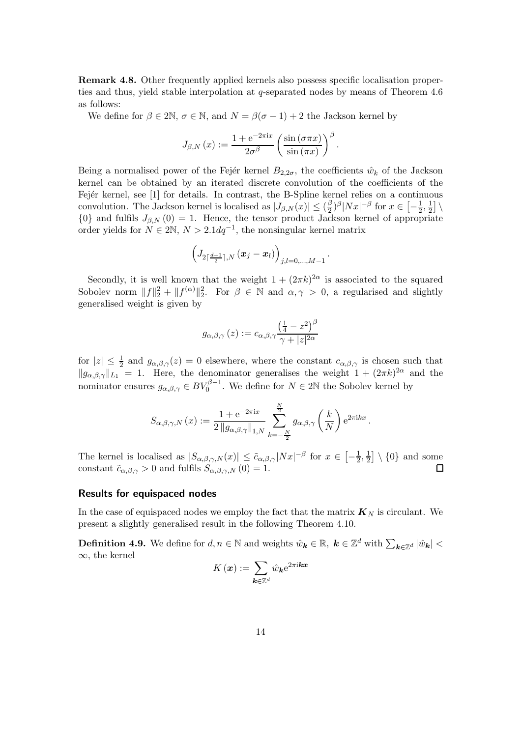Remark 4.8. Other frequently applied kernels also possess specific localisation properties and thus, yield stable interpolation at q-separated nodes by means of Theorem 4.6 as follows:

We define for  $\beta \in 2\mathbb{N}$ ,  $\sigma \in \mathbb{N}$ , and  $N = \beta(\sigma - 1) + 2$  the Jackson kernel by

$$
J_{\beta,N}\left(x\right) := \frac{1 + e^{-2\pi ix}}{2\sigma^{\beta}} \left(\frac{\sin\left(\sigma \pi x\right)}{\sin\left(\pi x\right)}\right)^{\beta}.
$$

Being a normalised power of the Fejer kernel  $B_{2,2\sigma}$ , the coefficients  $\hat{w}_k$  of the Jackson kernel can be obtained by an iterated discrete convolution of the coefficients of the Fejér kernel, see [1] for details. In contrast, the B-Spline kernel relies on a continuous convolution. The Jackson kernel is localised as  $|J_{\beta,N}(x)| \leq (\frac{\beta}{2})$  $\frac{\beta}{2}$ )<sup> $\beta$ </sup>| $Nx|^{-\beta}$  for  $x \in \left[-\frac{1}{2},\frac{1}{2}\right]$  $\frac{1}{2}$  \  $\{0\}$  and fulfils  $J_{\beta,N}(0) = 1$ . Hence, the tensor product Jackson kernel of appropriate order yields for  $N \in 2\mathbb{N}, N > 2.1dq^{-1}$ , the nonsingular kernel matrix

$$
\left(J_{2\lceil \frac{d+1}{2}\rceil,N}\left({\bm x}_j-{\bm x}_l\right)\right)_{j,l=0,...,M-1}
$$

.

Secondly, it is well known that the weight  $1 + (2\pi k)^{2\alpha}$  is associated to the squared Sobolev norm  $||f||_2^2 + ||f^{(\alpha)}||_2^2$ . For  $\beta \in \mathbb{N}$  and  $\alpha, \gamma > 0$ , a regularised and slightly generalised weight is given by

$$
g_{\alpha,\beta,\gamma}(z) := c_{\alpha,\beta,\gamma} \frac{\left(\frac{1}{4} - z^2\right)^{\beta}}{\gamma + |z|^{2\alpha}}
$$

for  $|z| \leq \frac{1}{2}$  and  $g_{\alpha,\beta,\gamma}(z) = 0$  elsewhere, where the constant  $c_{\alpha,\beta,\gamma}$  is chosen such that  $||g_{\alpha,\beta,\gamma}||_{L_1} = 1$ . Here, the denominator generalises the weight  $1 + (2\pi k)^{2\alpha}$  and the nominator ensures  $g_{\alpha,\beta,\gamma} \in BV_0^{\beta-1}$ . We define for  $N \in 2\mathbb{N}$  the Sobolev kernel by

$$
S_{\alpha,\beta,\gamma,N}(x) := \frac{1 + e^{-2\pi ix}}{2\left\|g_{\alpha,\beta,\gamma}\right\|_{1,N}} \sum_{k=-\frac{N}{2}}^{\frac{N}{2}} g_{\alpha,\beta,\gamma}\left(\frac{k}{N}\right) e^{2\pi i k x}.
$$

The kernel is localised as  $|S_{\alpha,\beta,\gamma,N}(x)| \leq \tilde{c}_{\alpha,\beta,\gamma}|Nx|^{-\beta}$  for  $x \in \left[-\frac{1}{2}\right]$  $\frac{1}{2}, \frac{1}{2}$  $\frac{1}{2}$  \ {0} and some constant  $\tilde{c}_{\alpha,\beta,\gamma} > 0$  and fulfils  $S_{\alpha,\beta,\gamma,N}(0) = 1$ .

#### Results for equispaced nodes

In the case of equispaced nodes we employ the fact that the matrix  $K_N$  is circulant. We present a slightly generalised result in the following Theorem 4.10.

**Definition 4.9.** We define for  $d, n \in \mathbb{N}$  and weights  $\hat{w}_k \in \mathbb{R}$ ,  $k \in \mathbb{Z}^d$  with  $\sum_{k \in \mathbb{Z}^d} |\hat{w}_k| <$  $\infty$ , the kernel

$$
K\left(\bm{x}\right):=\sum_{\bm{k}\in\mathbb{Z}^{d}}\hat{w}_{\bm{k}}\mathrm{e}^{2\pi\mathrm{i}\bm{k}\bm{x}}
$$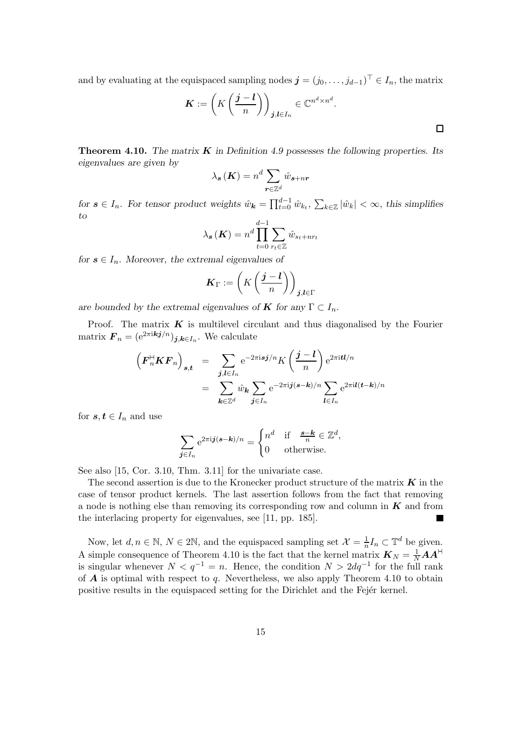and by evaluating at the equispaced sampling nodes  $\boldsymbol{j} = (j_0, \dots, j_{d-1})^\top \in I_n$ , the matrix

$$
\boldsymbol{K} := \left( K \left( \frac{\boldsymbol{j} - \boldsymbol{l}}{n} \right) \right)_{\boldsymbol{j}, \boldsymbol{l} \in I_n} \in \mathbb{C}^{n^d \times n^d}.
$$

**Theorem 4.10.** The matrix  $\boldsymbol{K}$  in Definition 4.9 possesses the following properties. Its eigenvalues are given by

$$
\lambda_{\boldsymbol{s}}\left(\boldsymbol{K}\right)=n^d\sum_{\boldsymbol{r}\in\mathbb{Z}^d}\hat{w}_{\boldsymbol{s}+n\boldsymbol{r}}
$$

for  $s \in I_n$ . For tensor product weights  $\hat{w}_k = \prod_{t=0}^{d-1} \hat{w}_{k_t}, \sum_{k \in \mathbb{Z}} |\hat{w}_k| < \infty$ , this simplifies to

$$
\lambda_{\mathbf{s}}(\mathbf{K}) = n^d \prod_{t=0}^{d-1} \sum_{r_t \in \mathbb{Z}} \hat{w}_{s_t + nr_t}
$$

for  $s \in I_n$ . Moreover, the extremal eigenvalues of

$$
\boldsymbol{K}_{\Gamma} := \left(K\left(\frac{j-l}{n}\right)\right)_{j,l\in\Gamma}
$$

are bounded by the extremal eigenvalues of **K** for any  $\Gamma \subset I_n$ .

Proof. The matrix  $K$  is multilevel circulant and thus diagonalised by the Fourier matrix  $\boldsymbol{F}_n = (e^{2\pi i \boldsymbol{k} \boldsymbol{j}/n})_{\boldsymbol{j}, \boldsymbol{k} \in I_n}$ . We calculate

$$
\left(F_n^{\mathsf{H}} \mathbf{K} \mathbf{F}_n\right)_{\mathbf{s}, \mathbf{t}} = \sum_{\mathbf{j}, \mathbf{l} \in I_n} e^{-2\pi i \mathbf{s} \mathbf{j}/n} K\left(\frac{\mathbf{j} - \mathbf{l}}{n}\right) e^{2\pi i \mathbf{t} \mathbf{l}/n}
$$

$$
= \sum_{\mathbf{k} \in \mathbb{Z}^d} \hat{w}_{\mathbf{k}} \sum_{\mathbf{j} \in I_n} e^{-2\pi i \mathbf{j} (\mathbf{s} - \mathbf{k})/n} \sum_{\mathbf{l} \in I_n} e^{2\pi i \mathbf{l} (\mathbf{t} - \mathbf{k})/n}
$$

for  $s, t \in I_n$  and use

$$
\sum_{\boldsymbol{j}\in I_n} e^{2\pi i \boldsymbol{j}(\boldsymbol{s}-\boldsymbol{k})/n} = \begin{cases} n^d & \text{if } \frac{\boldsymbol{s}-\boldsymbol{k}}{n} \in \mathbb{Z}^d, \\ 0 & \text{otherwise.} \end{cases}
$$

See also [15, Cor. 3.10, Thm. 3.11] for the univariate case.

The second assertion is due to the Kronecker product structure of the matrix  $K$  in the case of tensor product kernels. The last assertion follows from the fact that removing a node is nothing else than removing its corresponding row and column in  $\boldsymbol{K}$  and from the interlacing property for eigenvalues, see [11, pp. 185].

Now, let  $d, n \in \mathbb{N}, N \in 2\mathbb{N}$ , and the equispaced sampling set  $\mathcal{X} = \frac{1}{n} I_n \subset \mathbb{T}^d$  be given. A simple consequence of Theorem 4.10 is the fact that the kernel matrix  $\mathbf{K}_N = \frac{1}{N} \mathbf{A} \mathbf{A}^{\mathsf{H}}$ is singular whenever  $N < q^{-1} = n$ . Hence, the condition  $N > 2dq^{-1}$  for the full rank of  $\boldsymbol{A}$  is optimal with respect to q. Nevertheless, we also apply Theorem 4.10 to obtain positive results in the equispaced setting for the Dirichlet and the Fejer kernel.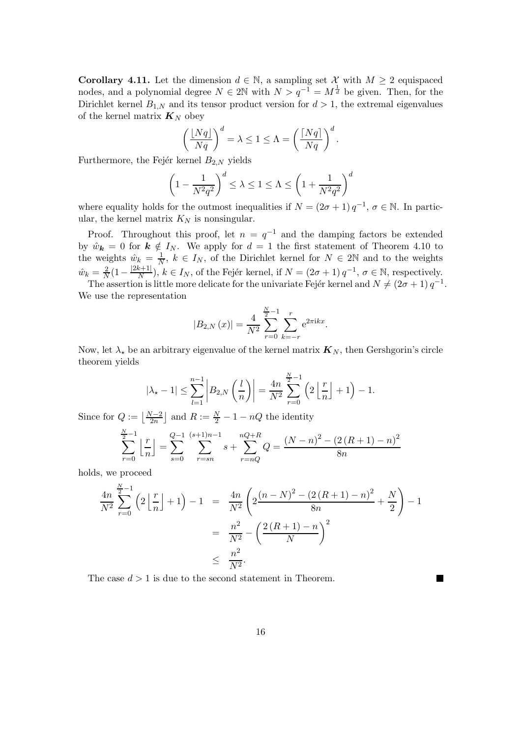**Corollary 4.11.** Let the dimension  $d \in \mathbb{N}$ , a sampling set X with  $M \geq 2$  equispaced nodes, and a polynomial degree  $N \in 2\mathbb{N}$  with  $N > q^{-1} = M^{\frac{1}{d}}$  be given. Then, for the Dirichlet kernel  $B_{1,N}$  and its tensor product version for  $d > 1$ , the extremal eigenvalues of the kernel matrix  $\mathbf{K}_N$  obey

$$
\left(\frac{\lfloor Nq\rfloor}{Nq}\right)^d = \lambda \le 1 \le \Lambda = \left(\frac{\lceil Nq\rceil}{Nq}\right)^d.
$$

Furthermore, the Fejér kernel  $B_{2,N}$  yields

$$
\left(1 - \frac{1}{N^2 q^2}\right)^d \le \lambda \le 1 \le \Lambda \le \left(1 + \frac{1}{N^2 q^2}\right)^d
$$

where equality holds for the outmost inequalities if  $N = (2\sigma + 1) q^{-1}$ ,  $\sigma \in \mathbb{N}$ . In particular, the kernel matrix  $K_N$  is nonsingular.

Proof. Throughout this proof, let  $n = q^{-1}$  and the damping factors be extended by  $\hat{w}_k = 0$  for  $k \notin I_N$ . We apply for  $d = 1$  the first statement of Theorem 4.10 to the weights  $\hat{w}_k = \frac{1}{N}$  $\frac{1}{N}$ ,  $k \in I_N$ , of the Dirichlet kernel for  $N \in 2\mathbb{N}$  and to the weights  $\hat{w}_k = \frac{2}{N}$  $\frac{2}{N}(1-\frac{|2k+1|}{N})$  $\frac{k+1}{N}$ ,  $k \in I_N$ , of the Fejér kernel, if  $N = (2\sigma + 1) q^{-1}$ ,  $\sigma \in \mathbb{N}$ , respectively.

The assertion is little more delicate for the univariate Fejér kernel and  $N \neq (2\sigma + 1) q^{-1}$ . We use the representation

$$
|B_{2,N}(x)| = \frac{4}{N^2} \sum_{r=0}^{\frac{N}{2}-1} \sum_{k=-r}^{r} e^{2\pi i kx}.
$$

Now, let  $\lambda_{\star}$  be an arbitrary eigenvalue of the kernel matrix  $\mathbf{K}_{N}$ , then Gershgorin's circle theorem yields

$$
|\lambda_{\star}-1| \leq \sum_{l=1}^{n-1} \left| B_{2,N}\left(\frac{l}{n}\right) \right| = \frac{4n}{N^2} \sum_{r=0}^{\frac{N}{2}-1} \left(2\left\lfloor \frac{r}{n} \right\rfloor + 1\right) - 1.
$$

Since for  $Q := \left\lfloor \frac{N-2}{2n} \right\rfloor$  and  $R := \frac{N}{2} - 1 - nQ$  the identity

$$
\sum_{r=0}^{\frac{N}{2}-1} \left\lfloor \frac{r}{n} \right\rfloor = \sum_{s=0}^{Q-1} \sum_{r=sn}^{(s+1)n-1} s + \sum_{r=nQ}^{nQ+R} Q = \frac{(N-n)^2 - (2(R+1)-n)^2}{8n}
$$

holds, we proceed

$$
\frac{4n}{N^2} \sum_{r=0}^{\frac{N}{2}-1} \left( 2\left\lfloor \frac{r}{n} \right\rfloor + 1 \right) - 1 = \frac{4n}{N^2} \left( 2\frac{(n-N)^2 - (2(R+1) - n)^2}{8n} + \frac{N}{2} \right) - 1
$$

$$
= \frac{n^2}{N^2} - \left( \frac{2(R+1) - n}{N} \right)^2
$$

$$
\leq \frac{n^2}{N^2}.
$$

П

The case  $d > 1$  is due to the second statement in Theorem.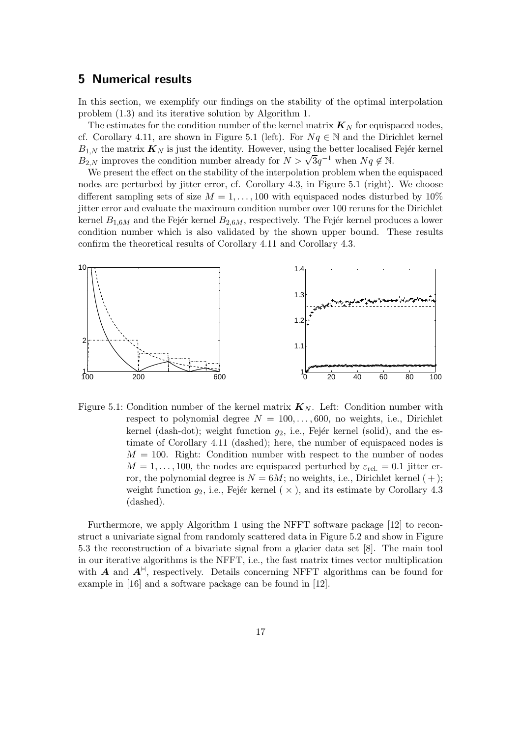## 5 Numerical results

In this section, we exemplify our findings on the stability of the optimal interpolation problem (1.3) and its iterative solution by Algorithm 1.

The estimates for the condition number of the kernel matrix  $\mathbf{K}_N$  for equispaced nodes, cf. Corollary 4.11, are shown in Figure 5.1 (left). For  $Nq \in \mathbb{N}$  and the Dirichlet kernel  $B_{1,N}$  the matrix  $\mathbf{K}_N$  is just the identity. However, using the better localised Fejér kernel  $B_{2,N}$  improves the condition number already for  $N > \sqrt{3}q^{-1}$  when  $Nq \notin \mathbb{N}$ .

We present the effect on the stability of the interpolation problem when the equispaced nodes are perturbed by jitter error, cf. Corollary 4.3, in Figure 5.1 (right). We choose different sampling sets of size  $M = 1, \ldots, 100$  with equispaced nodes disturbed by  $10\%$ jitter error and evaluate the maximum condition number over 100 reruns for the Dirichlet kernel  $B_{1,6M}$  and the Fejér kernel  $B_{2,6M}$ , respectively. The Fejér kernel produces a lower condition number which is also validated by the shown upper bound. These results confirm the theoretical results of Corollary 4.11 and Corollary 4.3.



Figure 5.1: Condition number of the kernel matrix  $\mathbf{K}_{N}$ . Left: Condition number with respect to polynomial degree  $N = 100, \ldots, 600$ , no weights, i.e., Dirichlet kernel (dash-dot); weight function  $g_2$ , i.e., Fejér kernel (solid), and the estimate of Corollary 4.11 (dashed); here, the number of equispaced nodes is  $M = 100$ . Right: Condition number with respect to the number of nodes  $M = 1, \ldots, 100$ , the nodes are equispaced perturbed by  $\varepsilon_{rel.} = 0.1$  jitter error, the polynomial degree is  $N = 6M$ ; no weights, i.e., Dirichlet kernel  $(+)$ ; weight function  $g_2$ , i.e., Fejér kernel ( $\times$ ), and its estimate by Corollary 4.3 (dashed).

Furthermore, we apply Algorithm 1 using the NFFT software package [12] to reconstruct a univariate signal from randomly scattered data in Figure 5.2 and show in Figure 5.3 the reconstruction of a bivariate signal from a glacier data set [8]. The main tool in our iterative algorithms is the NFFT, i.e., the fast matrix times vector multiplication with A and  $A^{\dagger}$ , respectively. Details concerning NFFT algorithms can be found for example in [16] and a software package can be found in [12].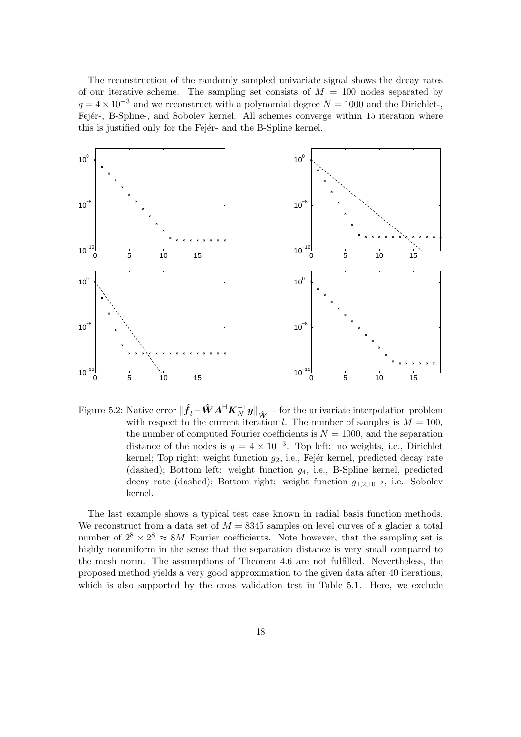The reconstruction of the randomly sampled univariate signal shows the decay rates of our iterative scheme. The sampling set consists of  $M = 100$  nodes separated by  $q = 4 \times 10^{-3}$  and we reconstruct with a polynomial degree  $N = 1000$  and the Dirichlet-, Fejér-, B-Spline-, and Sobolev kernel. All schemes converge within 15 iteration where this is justified only for the Fejer- and the B-Spline kernel.



Figure 5.2: Native error  $\|\hat{f}_l - \hat{W}A^{\dagger 1}K_N^{-1}y\|_{\hat{W}}$ <sup>-1</sup> for the univariate interpolation problem with respect to the current iteration l. The number of samples is  $M = 100$ , the number of computed Fourier coefficients is  $N = 1000$ , and the separation distance of the nodes is  $q = 4 \times 10^{-3}$ . Top left: no weights, i.e., Dirichlet kernel; Top right: weight function  $g_2$ , i.e., Fejér kernel, predicted decay rate (dashed); Bottom left: weight function  $g_4$ , i.e., B-Spline kernel, predicted decay rate (dashed); Bottom right: weight function  $g_{1,2,10^{-2}}$ , i.e., Sobolev kernel.

The last example shows a typical test case known in radial basis function methods. We reconstruct from a data set of  $M = 8345$  samples on level curves of a glacier a total number of  $2^8 \times 2^8 \approx 8M$  Fourier coefficients. Note however, that the sampling set is highly nonuniform in the sense that the separation distance is very small compared to the mesh norm. The assumptions of Theorem 4.6 are not fulfilled. Nevertheless, the proposed method yields a very good approximation to the given data after 40 iterations, which is also supported by the cross validation test in Table 5.1. Here, we exclude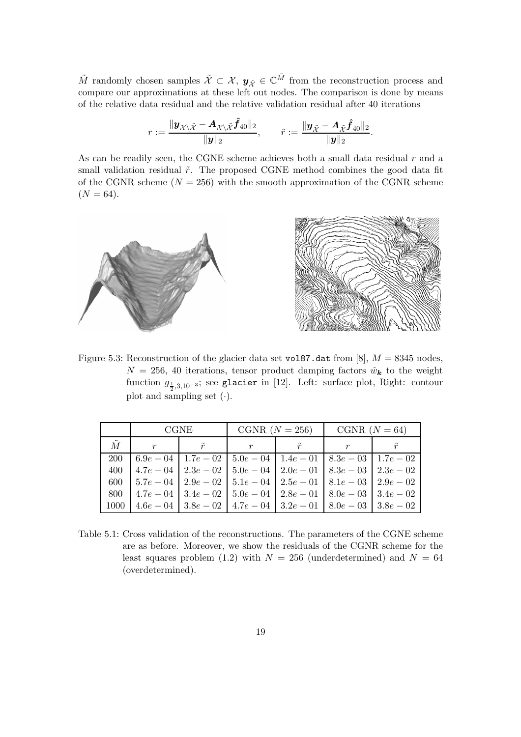$\tilde{M}$  randomly chosen samples  $\tilde{\mathcal{X}} \subset \mathcal{X}$ ,  $y_{\tilde{\mathcal{X}}} \in \mathbb{C}^{\tilde{M}}$  from the reconstruction process and compare our approximations at these left out nodes. The comparison is done by means of the relative data residual and the relative validation residual after 40 iterations

$$
r:=\frac{\|\boldsymbol{y}_{\boldsymbol{\mathcal{X}}\setminus\boldsymbol{\tilde{\mathcal{X}}}}-\boldsymbol{A}_{\boldsymbol{\mathcal{X}}\setminus\boldsymbol{\tilde{\mathcal{X}}}}\boldsymbol{\hat{f}}_{40}\|_2}{\|\boldsymbol{y}\|_2},\qquad \tilde{r}:=\frac{\|\boldsymbol{y}_{\boldsymbol{\tilde{\mathcal{X}}}}-\boldsymbol{A}_{\boldsymbol{\tilde{\mathcal{X}}}}\boldsymbol{\hat{f}}_{40}\|_2}{\|\boldsymbol{y}\|_2}.
$$

As can be readily seen, the CGNE scheme achieves both a small data residual  $r$  and a small validation residual  $\tilde{r}$ . The proposed CGNE method combines the good data fit of the CGNR scheme ( $N = 256$ ) with the smooth approximation of the CGNR scheme  $(N = 64)$ .



Figure 5.3: Reconstruction of the glacier data set vol87.dat from [8],  $M = 8345$  nodes,  $N = 256, 40$  iterations, tensor product damping factors  $\hat{w}_k$  to the weight function  $g_{\frac{1}{2},3,10^{-3}};$  see glacier in [12]. Left: surface plot, Right: contour plot and sampling set  $(\cdot)$ .

|             | <b>CGNE</b>                                                                                 |             | CGNR $(N = 256)$ |             | CGNR $(N = 64)$ |  |
|-------------|---------------------------------------------------------------------------------------------|-------------|------------------|-------------|-----------------|--|
| $\tilde{M}$ | $\boldsymbol{r}$                                                                            | $\tilde{r}$ |                  | $\tilde{r}$ |                 |  |
| <b>200</b>  | $\mid 6.9e - 04 \mid 1.7e - 02 \mid 5.0e - 04 \mid 1.4e - 01 \mid 8.3e - 03 \mid 1.7e - 02$ |             |                  |             |                 |  |
| 400         | $1.7e - 04$   $2.3e - 02$   $5.0e - 04$   $2.0e - 01$   $8.3e - 03$   $2.3e - 02$           |             |                  |             |                 |  |
| 600         | $\mid 5.7e - 04 \mid 2.9e - 02 \mid 5.1e - 04 \mid 2.5e - 01 \mid 8.1e - 03 \mid 2.9e - 02$ |             |                  |             |                 |  |
| 800         | $\mid 4.7e-04 \mid 3.4e-02 \mid 5.0e-04 \mid 2.8e-01 \mid 8.0e-03 \mid 3.4e-02$             |             |                  |             |                 |  |
| 1000        | $1.6e - 04$   $3.8e - 02$   $4.7e - 04$   $3.2e - 01$   $8.0e - 03$   $3.8e - 02$           |             |                  |             |                 |  |

Table 5.1: Cross validation of the reconstructions. The parameters of the CGNE scheme are as before. Moreover, we show the residuals of the CGNR scheme for the least squares problem (1.2) with  $N = 256$  (underdetermined) and  $N = 64$ (overdetermined).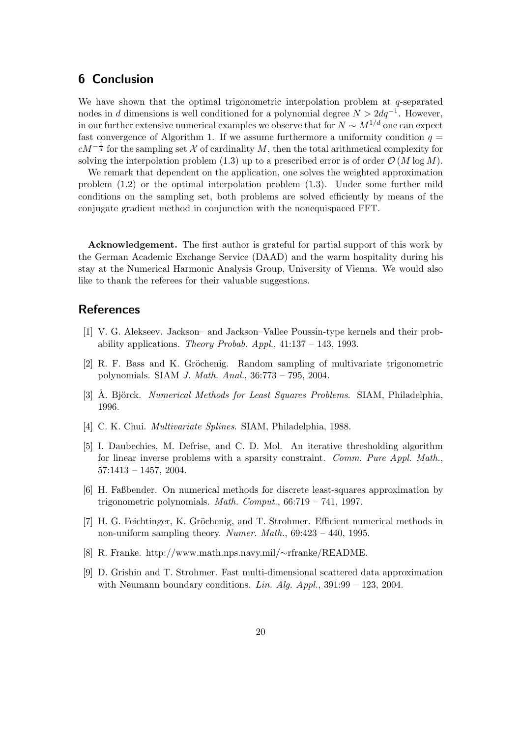# 6 Conclusion

We have shown that the optimal trigonometric interpolation problem at  $q$ -separated nodes in d dimensions is well conditioned for a polynomial degree  $N > 2dq^{-1}$ . However, in our further extensive numerical examples we observe that for  $N \sim M^{1/d}$  one can expect fast convergence of Algorithm 1. If we assume furthermore a uniformity condition  $q =$  $cM^{-\frac{1}{d}}$  for the sampling set X of cardinality M, then the total arithmetical complexity for solving the interpolation problem (1.3) up to a prescribed error is of order  $\mathcal{O}(M \log M)$ .

We remark that dependent on the application, one solves the weighted approximation problem (1.2) or the optimal interpolation problem (1.3). Under some further mild conditions on the sampling set, both problems are solved efficiently by means of the conjugate gradient method in conjunction with the nonequispaced FFT.

Acknowledgement. The first author is grateful for partial support of this work by the German Academic Exchange Service (DAAD) and the warm hospitality during his stay at the Numerical Harmonic Analysis Group, University of Vienna. We would also like to thank the referees for their valuable suggestions.

## References

- [1] V. G. Alekseev. Jackson– and Jackson–Vallee Poussin-type kernels and their probability applications. Theory Probab. Appl.,  $41:137 - 143$ , 1993.
- $[2]$  R. F. Bass and K. Gröchenig. Random sampling of multivariate trigonometric polynomials. SIAM J. Math. Anal., 36:773 – 795, 2004.
- [3] A. Björck. *Numerical Methods for Least Squares Problems.* SIAM, Philadelphia, 1996.
- [4] C. K. Chui. *Multivariate Splines*. SIAM, Philadelphia, 1988.
- [5] I. Daubechies, M. Defrise, and C. D. Mol. An iterative thresholding algorithm for linear inverse problems with a sparsity constraint. Comm. Pure Appl. Math., 57:1413 – 1457, 2004.
- [6] H. Faßbender. On numerical methods for discrete least-squares approximation by trigonometric polynomials. Math. Comput., 66:719 – 741, 1997.
- [7] H. G. Feichtinger, K. Gröchenig, and T. Strohmer. Efficient numerical methods in non-uniform sampling theory. Numer. Math.,  $69:423 - 440$ , 1995.
- [8] R. Franke. http://www.math.nps.navy.mil/∼rfranke/README.
- [9] D. Grishin and T. Strohmer. Fast multi-dimensional scattered data approximation with Neumann boundary conditions. Lin. Alg. Appl.,  $391:99 - 123$ , 2004.